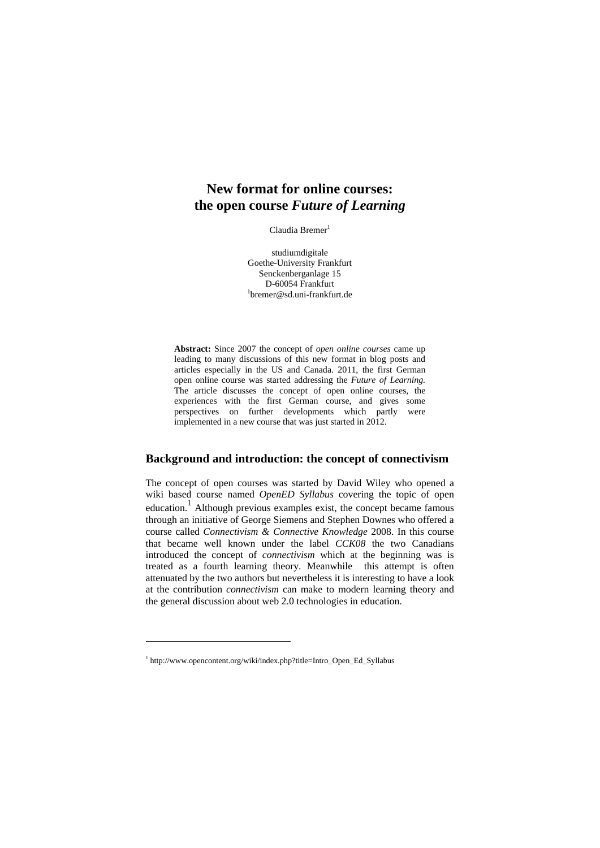# **New format for online courses: the open course** *Future of Learning*

Claudia Bremer<sup>1</sup>

studiumdigitale Goethe-University Frankfurt Senckenberganlage 15<br>D-60054 Frankfurt D-60054 Frankfurt<br>
<sup>1</sup>bremer@sd.uni-frankfurt.de

**Abstract:** Since 2007 the concept of *open online courses* came up leading to many discussions of this new format in blog posts and articles especially in the US and Canada. 2011, the first German open online course was started addressing the *Future of Learning.* The article discusses the concept of open online courses, the experiences with the first German course, and gives some perspectives on further developments which partly were implemented in a new course that was just started in 2012.

## **Background and introduction: the concept of connectivism**

The concept of open courses was started by David Wiley who opened a wiki based course named *OpenED Syllabus* covering the topic of open education.<sup>1</sup> Although previous examples exist, the concept became famous through an initiative of George Siemens and Stephen Downes who offered a course called *Connectivism & Connective Knowledge* 2008. In this course that became well known under the label *CCK08* the two Canadians introduced the concept of *connectivism* which at the beginning was is treated as a fourth learning theory. Meanwhile this attempt is often attenuated by the two authors but nevertheless it is interesting to have a look at the contribution *connectivism* can make to modern learning theory and the general discussion about web 2.0 technologies in education.

<sup>&</sup>lt;sup>1</sup> http://www.opencontent.org/wiki/index.php?title=Intro\_Open\_Ed\_Syllabus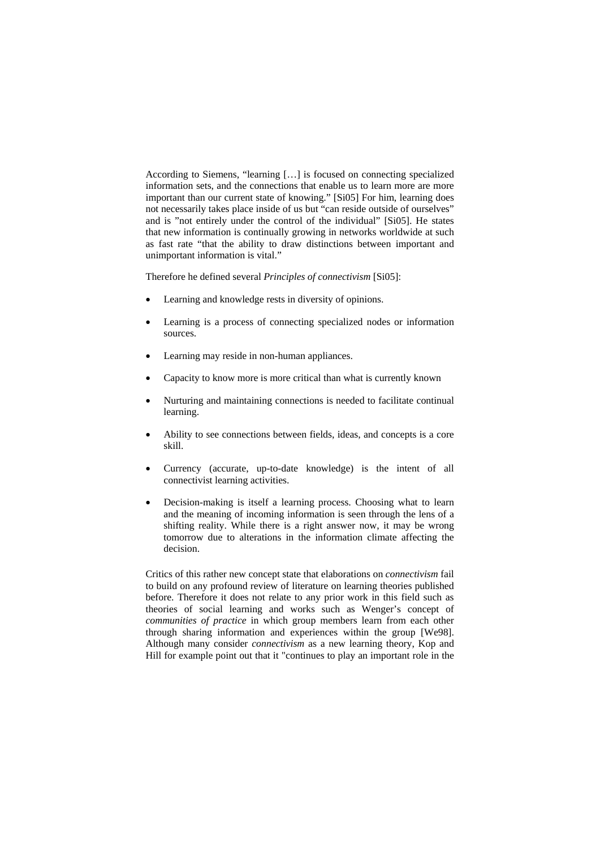According to Siemens, "learning […] is focused on connecting specialized information sets, and the connections that enable us to learn more are more important than our current state of knowing." [Si05] For him, learning does not necessarily takes place inside of us but "can reside outside of ourselves" and is "not entirely under the control of the individual" [Si05]. He states that new information is continually growing in networks worldwide at such as fast rate "that the ability to draw distinctions between important and unimportant information is vital."

Therefore he defined several *Principles of connectivism* [Si05]:

- Learning and knowledge rests in diversity of opinions.
- Learning is a process of connecting specialized nodes or information sources.
- Learning may reside in non-human appliances.
- Capacity to know more is more critical than what is currently known
- Nurturing and maintaining connections is needed to facilitate continual learning.
- Ability to see connections between fields, ideas, and concepts is a core skill.
- Currency (accurate, up-to-date knowledge) is the intent of all connectivist learning activities.
- Decision-making is itself a learning process. Choosing what to learn and the meaning of incoming information is seen through the lens of a shifting reality. While there is a right answer now, it may be wrong tomorrow due to alterations in the information climate affecting the decision.

Critics of this rather new concept state that elaborations on *connectivism* fail to build on any profound review of literature on learning theories published before. Therefore it does not relate to any prior work in this field such as theories of social learning and works such as Wenger's concept of *communities of practice* in which group members learn from each other through sharing information and experiences within the group [We98]. Although many consider *connectivism* as a new learning theory, Kop and Hill for example point out that it "continues to play an important role in the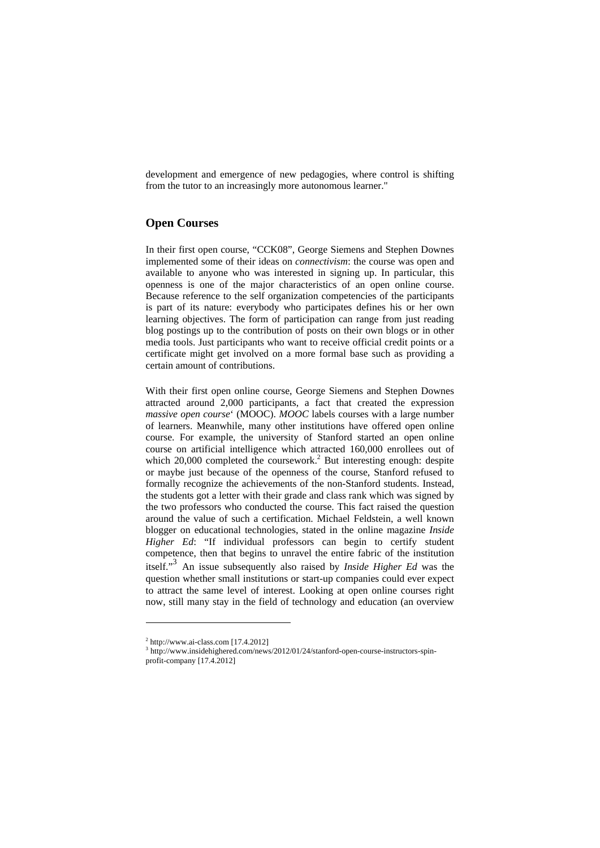development and emergence of new pedagogies, where control is shifting from the tutor to an increasingly more autonomous learner."

## **Open Courses**

In their first open course, "CCK08", George Siemens and Stephen Downes implemented some of their ideas on *connectivism*: the course was open and available to anyone who was interested in signing up. In particular, this openness is one of the major characteristics of an open online course. Because reference to the self organization competencies of the participants is part of its nature: everybody who participates defines his or her own learning objectives. The form of participation can range from just reading blog postings up to the contribution of posts on their own blogs or in other media tools. Just participants who want to receive official credit points or a certificate might get involved on a more formal base such as providing a certain amount of contributions.

With their first open online course, George Siemens and Stephen Downes attracted around 2,000 participants, a fact that created the expression *massive open course*' (MOOC). *MOOC* labels courses with a large number of learners. Meanwhile, many other institutions have offered open online course. For example, the university of Stanford started an open online course on artificial intelligence which attracted 160,000 enrollees out of which  $20,000$  completed the coursework.<sup>2</sup> But interesting enough: despite or maybe just because of the openness of the course, Stanford refused to formally recognize the achievements of the non-Stanford students. Instead, the students got a letter with their grade and class rank which was signed by the two professors who conducted the course. This fact raised the question around the value of such a certification. Michael Feldstein, a well known blogger on educational technologies, stated in the online magazine *Inside Higher Ed*: "If individual professors can begin to certify student competence, then that begins to unravel the entire fabric of the institution itself."3 An issue subsequently also raised by *Inside Higher Ed* was the question whether small institutions or start-up companies could ever expect to attract the same level of interest. Looking at open online courses right now, still many stay in the field of technology and education (an overview

 $2$  http://www.ai-class.com [17.4.2012]

<sup>3</sup> http://www.insidehighered.com/news/2012/01/24/stanford-open-course-instructors-spinprofit-company [17.4.2012]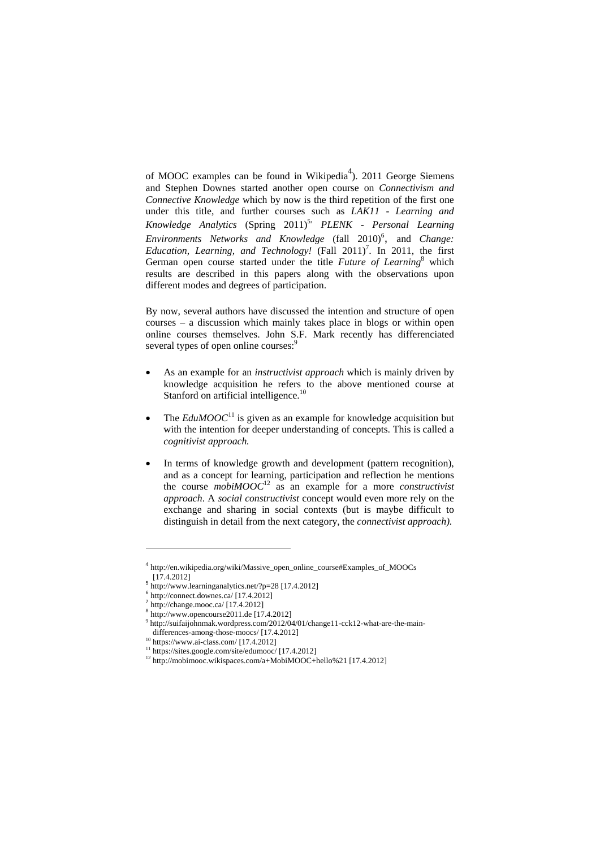of MOOC examples can be found in Wikipedia<sup>4</sup>). 2011 George Siemens and Stephen Downes started another open course on *Connectivism and Connective Knowledge* which by now is the third repetition of the first one under this title, and further courses such as *LAK11 - Learning and Knowledge Analytics* (Spring 2011)<sup>5,</sup> *PLENK - Personal Learning Environments Networks and Knowledge* (fall 2010)<sup>6</sup>, and *Change: Education, Learning, and Technology!* (Fall  $2011$ )<sup>7</sup>. In 2011, the first German open course started under the title *Future of Learning*<sup>8</sup> which results are described in this papers along with the observations upon different modes and degrees of participation.

By now, several authors have discussed the intention and structure of open courses – a discussion which mainly takes place in blogs or within open online courses themselves. John S.F. Mark recently has differenciated several types of open online courses:<sup>9</sup>

- As an example for an *instructivist approach* which is mainly driven by knowledge acquisition he refers to the above mentioned course at Stanford on artificial intelligence.<sup>10</sup>
- The  $EduMOOC^{11}$  is given as an example for knowledge acquisition but with the intention for deeper understanding of concepts. This is called a *cognitivist approach.*
- In terms of knowledge growth and development (pattern recognition), and as a concept for learning, participation and reflection he mentions the course *mobiMOOC*<sup>12</sup> as an example for a more *constructivist approach*. A *social constructivist* concept would even more rely on the exchange and sharing in social contexts (but is maybe difficult to distinguish in detail from the next category, the *connectivist approach).*

 $\overline{a}$ 

<sup>4</sup> http://en.wikipedia.org/wiki/Massive\_open\_online\_course#Examples\_of\_MOOCs

 $\frac{5 \text{ ht} \cdot \cdot \cdot \cdot \cdot \cdot \cdot \cdot \cdot}{6 \text{ http://www.learninganalysis.net/?p=28 [17.4.2012]}}\n\frac{6 \text{ http://www.learninganalysis.net/?p=28 [17.4.2012]}}{\text{http://change.mooc.ca/ [17.4.2012]}}$ 

 $8 \frac{\text{http://www.opencourse2011.de}}{\text{http://www.opencourse2011.de}}$  [17.4.2012]

 $h_{\text{th}}$  //suifaijohnmak.wordpress.com/2012/04/01/change11-cck12-what-are-the-main-<br>differences-among-those-moocs/[17.4.2012]

differences-among-those-moon/ [17.4.2012]<br><sup>11</sup> https://sites.google.com/site/edumooc/ [17.4.2012]

 $12 \text{ http://mobimooc.wikispaces.com/a+MobiMOOC+hello%21 [17.4.2012]$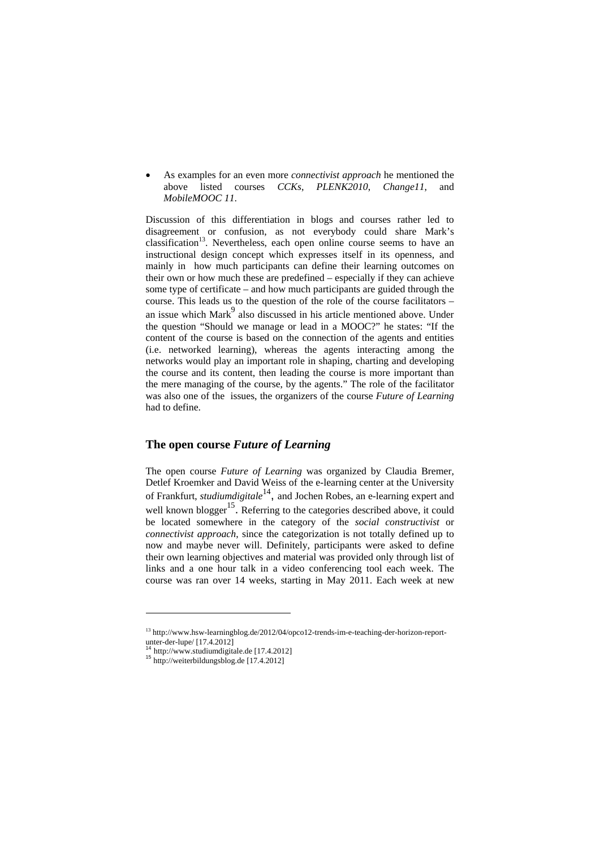As examples for an even more *connectivist approach* he mentioned the above listed courses *CCKs*, *PLENK2010*, *Change11*, and *MobileMOOC 11*.

Discussion of this differentiation in blogs and courses rather led to disagreement or confusion, as not everybody could share Mark's classification<sup>13</sup>. Nevertheless, each open online course seems to have an instructional design concept which expresses itself in its openness, and mainly in how much participants can define their learning outcomes on their own or how much these are predefined – especially if they can achieve some type of certificate – and how much participants are guided through the course. This leads us to the question of the role of the course facilitators – an issue which Mark $\degree$  also discussed in his article mentioned above. Under the question "Should we manage or lead in a MOOC?" he states: "If the content of the course is based on the connection of the agents and entities (i.e. networked learning), whereas the agents interacting among the networks would play an important role in shaping, charting and developing the course and its content, then leading the course is more important than the mere managing of the course, by the agents." The role of the facilitator was also one of the issues, the organizers of the course *Future of Learning* had to define.

#### **The open course** *Future of Learning*

The open course *Future of Learning* was organized by Claudia Bremer, Detlef Kroemker and David Weiss of the e-learning center at the University of Frankfurt, *studiumdigitale*<sup>14</sup>, and Jochen Robes, an e-learning expert and well known blogger<sup>15</sup>. Referring to the categories described above, it could be located somewhere in the category of the *social constructivist* or *connectivist approach*, since the categorization is not totally defined up to now and maybe never will. Definitely, participants were asked to define their own learning objectives and material was provided only through list of links and a one hour talk in a video conferencing tool each week. The course was ran over 14 weeks, starting in May 2011. Each week at new

 $\overline{a}$ 

<sup>13</sup> http://www.hsw-learningblog.de/2012/04/opco12-trends-im-e-teaching-der-horizon-reportunter-der-lupe/ $[17.4.2012]$ <sup>14</sup> http://www.studiumdigitale.de [17.4.2012]

 $15$  http://weiterbildungsblog.de [17.4.2012]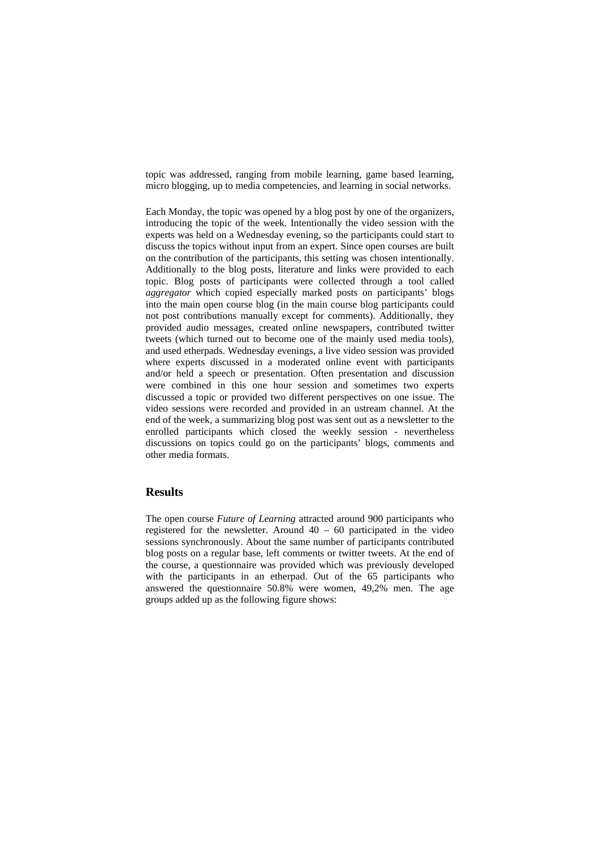topic was addressed, ranging from mobile learning, game based learning, micro blogging, up to media competencies, and learning in social networks.

Each Monday, the topic was opened by a blog post by one of the organizers, introducing the topic of the week. Intentionally the video session with the experts was held on a Wednesday evening, so the participants could start to discuss the topics without input from an expert. Since open courses are built on the contribution of the participants, this setting was chosen intentionally. Additionally to the blog posts, literature and links were provided to each topic. Blog posts of participants were collected through a tool called *aggregator* which copied especially marked posts on participants' blogs into the main open course blog (in the main course blog participants could not post contributions manually except for comments). Additionally, they provided audio messages, created online newspapers, contributed twitter tweets (which turned out to become one of the mainly used media tools), and used etherpads. Wednesday evenings, a live video session was provided where experts discussed in a moderated online event with participants and/or held a speech or presentation. Often presentation and discussion were combined in this one hour session and sometimes two experts discussed a topic or provided two different perspectives on one issue. The video sessions were recorded and provided in an ustream channel. At the end of the week, a summarizing blog post was sent out as a newsletter to the enrolled participants which closed the weekly session - nevertheless discussions on topics could go on the participants' blogs, comments and other media formats.

## **Results**

The open course *Future of Learning* attracted around 900 participants who registered for the newsletter. Around  $40 - 60$  participated in the video sessions synchronously. About the same number of participants contributed blog posts on a regular base, left comments or twitter tweets. At the end of the course, a questionnaire was provided which was previously developed with the participants in an etherpad. Out of the 65 participants who answered the questionnaire 50.8% were women, 49,2% men. The age groups added up as the following figure shows: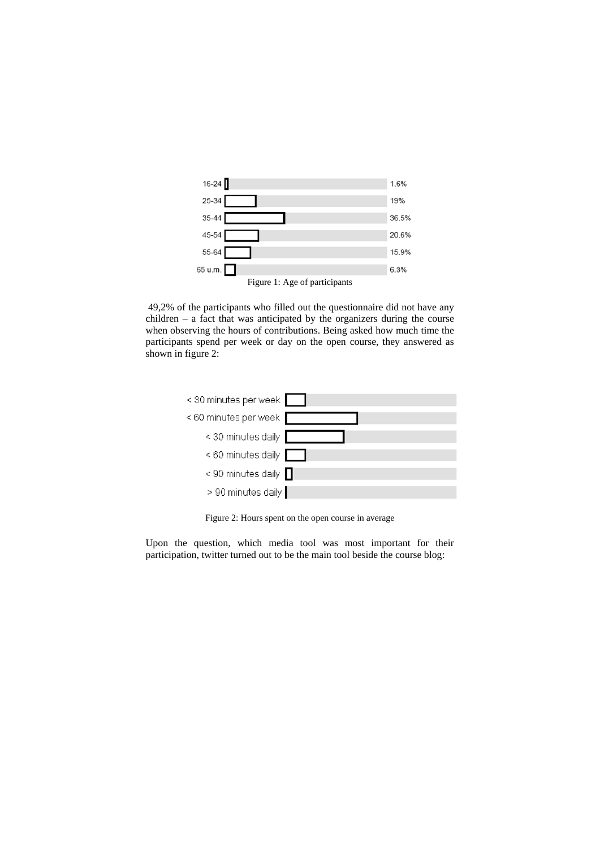

 49,2% of the participants who filled out the questionnaire did not have any children – a fact that was anticipated by the organizers during the course when observing the hours of contributions. Being asked how much time the participants spend per week or day on the open course, they answered as shown in figure 2:



Figure 2: Hours spent on the open course in average

Upon the question, which media tool was most important for their participation, twitter turned out to be the main tool beside the course blog: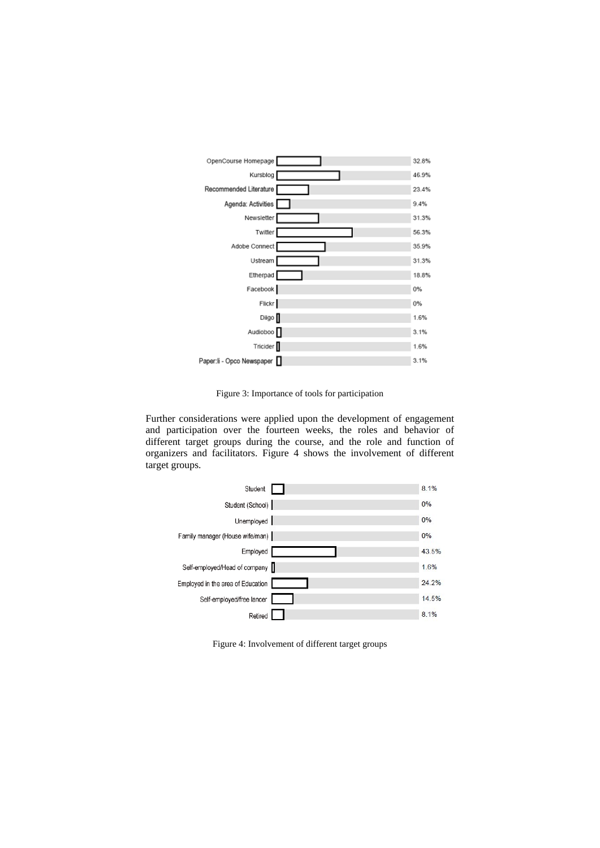

Figure 3: Importance of tools for participation

Further considerations were applied upon the development of engagement and participation over the fourteen weeks, the roles and behavior of different target groups during the course, and the role and function of organizers and facilitators. Figure 4 shows the involvement of different target groups.



Figure 4: Involvement of different target groups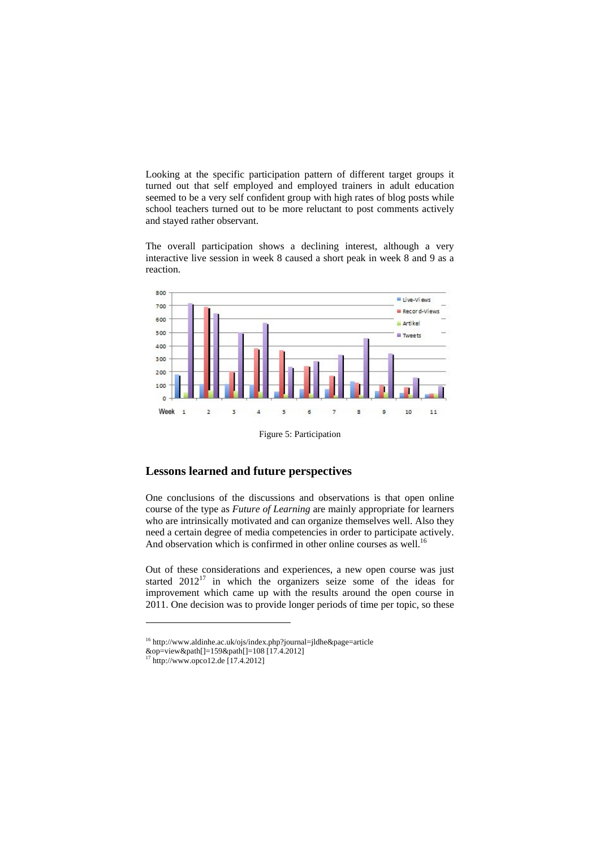Looking at the specific participation pattern of different target groups it turned out that self employed and employed trainers in adult education seemed to be a very self confident group with high rates of blog posts while school teachers turned out to be more reluctant to post comments actively and stayed rather observant.

The overall participation shows a declining interest, although a very interactive live session in week 8 caused a short peak in week 8 and 9 as a reaction.



Figure 5: Participation

# **Lessons learned and future perspectives**

One conclusions of the discussions and observations is that open online course of the type as *Future of Learning* are mainly appropriate for learners who are intrinsically motivated and can organize themselves well. Also they need a certain degree of media competencies in order to participate actively. And observation which is confirmed in other online courses as well.<sup>16</sup>

Out of these considerations and experiences, a new open course was just started  $2012^{17}$  in which the organizers seize some of the ideas for improvement which came up with the results around the open course in 2011. One decision was to provide longer periods of time per topic, so these

<sup>16</sup> http://www.aldinhe.ac.uk/ojs/index.php?journal=jldhe&page=article

<sup>&</sup>amp;op=view&path[]=159&path[]=108 [17.4.2012]

<sup>17</sup> http://www.opco12.de [17.4.2012]